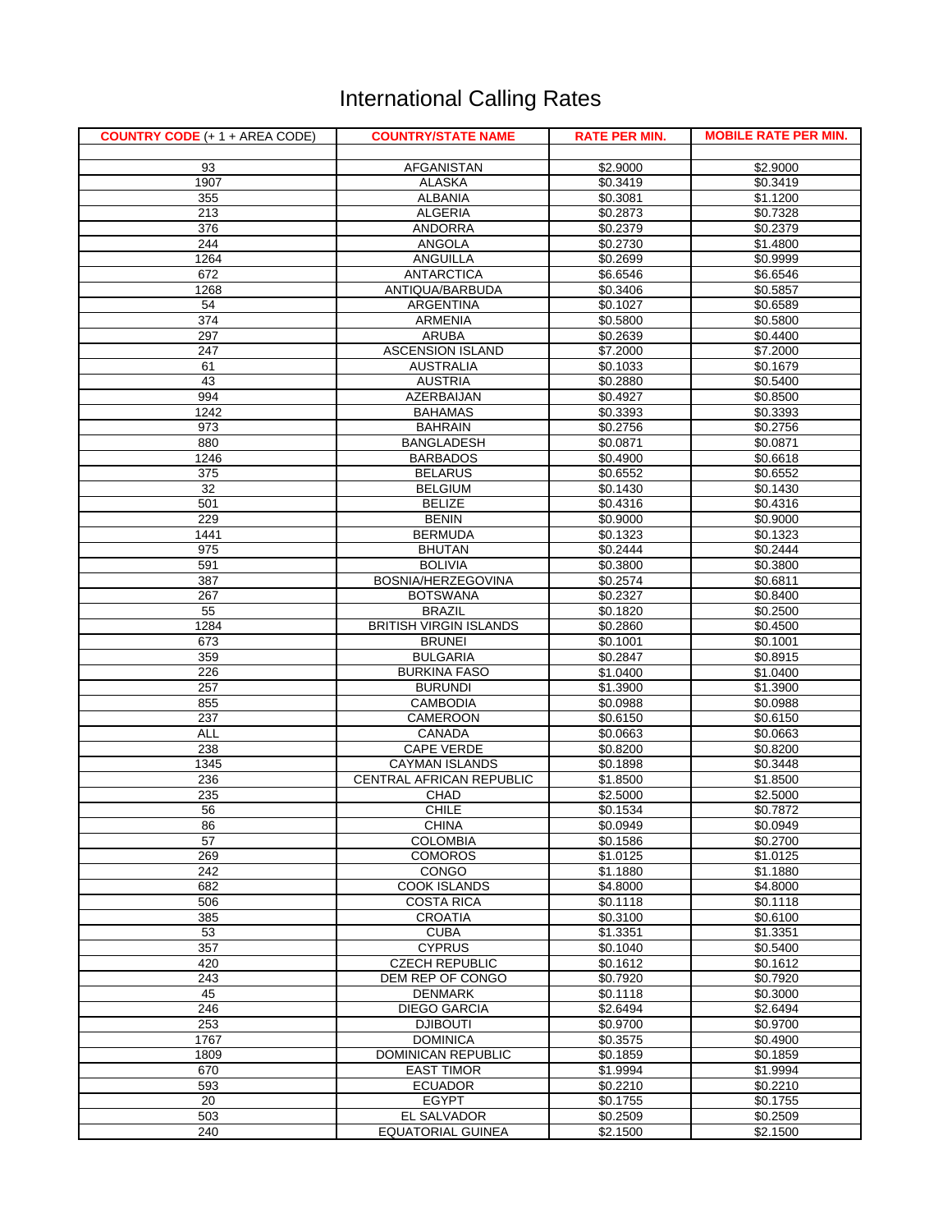## International Calling Rates

| <b>COUNTRY CODE (+ 1 + AREA CODE)</b> | <b>COUNTRY/STATE NAME</b>                   | <b>RATE PER MIN.</b> | <b>MOBILE RATE PER MIN.</b> |
|---------------------------------------|---------------------------------------------|----------------------|-----------------------------|
|                                       |                                             |                      |                             |
| 93                                    | <b>AFGANISTAN</b>                           | \$2.9000             | \$2.9000                    |
| 1907<br>355                           | <b>ALASKA</b><br><b>ALBANIA</b>             | \$0.3419<br>\$0.3081 | \$0.3419<br>\$1.1200        |
| 213                                   | <b>ALGERIA</b>                              | \$0.2873             | \$0.7328                    |
| 376                                   | <b>ANDORRA</b>                              | \$0.2379             | \$0.2379                    |
| 244                                   | <b>ANGOLA</b>                               | \$0.2730             | \$1.4800                    |
| 1264                                  | <b>ANGUILLA</b>                             | \$0.2699             | \$0.9999                    |
| 672                                   | <b>ANTARCTICA</b>                           | \$6.6546             | \$6.6546                    |
| 1268                                  | ANTIQUA/BARBUDA                             | \$0.3406             | \$0.5857                    |
| 54                                    | <b>ARGENTINA</b>                            | \$0.1027             | \$0.6589                    |
| 374                                   | <b>ARMENIA</b>                              | \$0.5800             | \$0.5800                    |
| 297                                   | <b>ARUBA</b>                                | \$0.2639             | \$0.4400                    |
| 247<br>61                             | <b>ASCENSION ISLAND</b><br><b>AUSTRALIA</b> | \$7.2000<br>\$0.1033 | \$7.2000<br>\$0.1679        |
| 43                                    | <b>AUSTRIA</b>                              | \$0.2880             | \$0.5400                    |
| 994                                   | <b>AZERBAIJAN</b>                           | \$0.4927             | \$0.8500                    |
| 1242                                  | <b>BAHAMAS</b>                              | \$0.3393             | \$0.3393                    |
| 973                                   | <b>BAHRAIN</b>                              | \$0.2756             | \$0.2756                    |
| 880                                   | <b>BANGLADESH</b>                           | \$0.0871             | \$0.0871                    |
| 1246                                  | <b>BARBADOS</b>                             | \$0.4900             | \$0.6618                    |
| 375                                   | <b>BELARUS</b>                              | \$0.6552             | \$0.6552                    |
| 32                                    | <b>BELGIUM</b>                              | \$0.1430             | \$0.1430                    |
| 501                                   | <b>BELIZE</b>                               | \$0.4316             | \$0.4316                    |
| 229<br>1441                           | <b>BENIN</b><br><b>BERMUDA</b>              | \$0.9000<br>\$0.1323 | \$0.9000<br>\$0.1323        |
| 975                                   | <b>BHUTAN</b>                               | \$0.2444             | \$0.2444                    |
| 591                                   | <b>BOLIVIA</b>                              | \$0.3800             | \$0.3800                    |
| 387                                   | BOSNIA/HERZEGOVINA                          | \$0.2574             | \$0.6811                    |
| 267                                   | <b>BOTSWANA</b>                             | \$0.2327             | \$0.8400                    |
| 55                                    | <b>BRAZIL</b>                               | \$0.1820             | \$0.2500                    |
| 1284                                  | <b>BRITISH VIRGIN ISLANDS</b>               | \$0.2860             | \$0.4500                    |
| 673                                   | <b>BRUNEI</b>                               | \$0.1001             | \$0.1001                    |
| 359                                   | <b>BULGARIA</b>                             | \$0.2847             | \$0.8915                    |
| 226<br>257                            | <b>BURKINA FASO</b><br><b>BURUNDI</b>       | \$1.0400<br>\$1.3900 | \$1.0400<br>\$1.3900        |
| 855                                   | <b>CAMBODIA</b>                             | \$0.0988             | \$0.0988                    |
| 237                                   | <b>CAMEROON</b>                             | \$0.6150             | \$0.6150                    |
| <b>ALL</b>                            | <b>CANADA</b>                               | \$0.0663             | \$0.0663                    |
| 238                                   | <b>CAPE VERDE</b>                           | \$0.8200             | \$0.8200                    |
| 1345                                  | <b>CAYMAN ISLANDS</b>                       | \$0.1898             | \$0.3448                    |
| 236                                   | CENTRAL AFRICAN REPUBLIC                    | \$1.8500             | \$1.8500                    |
| 235                                   | <b>CHAD</b>                                 | \$2.5000             | \$2.5000                    |
| 56                                    | <b>CHILE</b>                                | \$0.1534             | \$0.7872                    |
| 86<br>57                              | <b>CHINA</b><br><b>COLOMBIA</b>             | \$0.0949<br>\$0.1586 | \$0.0949<br>\$0.2700        |
| 269                                   | <b>COMOROS</b>                              | \$1.0125             | \$1.0125                    |
| 242                                   | <b>CONGO</b>                                | \$1.1880             | \$1.1880                    |
| 682                                   | <b>COOK ISLANDS</b>                         | \$4.8000             | \$4.8000                    |
| 506                                   | <b>COSTA RICA</b>                           | \$0.1118             | \$0.1118                    |
| 385                                   | <b>CROATIA</b>                              | \$0.3100             | \$0.6100                    |
| 53                                    | <b>CUBA</b>                                 | \$1.3351             | \$1.3351                    |
| 357                                   | <b>CYPRUS</b>                               | \$0.1040             | \$0.5400                    |
| 420                                   | <b>CZECH REPUBLIC</b>                       | \$0.1612             | \$0.1612                    |
| 243<br>45                             | DEM REP OF CONGO<br><b>DENMARK</b>          | \$0.7920<br>\$0.1118 | \$0.7920<br>\$0.3000        |
| 246                                   | <b>DIEGO GARCIA</b>                         | \$2.6494             | \$2.6494                    |
| 253                                   | <b>DJIBOUTI</b>                             | \$0.9700             | \$0.9700                    |
| 1767                                  | <b>DOMINICA</b>                             | \$0.3575             | \$0.4900                    |
| 1809                                  | <b>DOMINICAN REPUBLIC</b>                   | \$0.1859             | \$0.1859                    |
| 670                                   | <b>EAST TIMOR</b>                           | \$1.9994             | \$1.9994                    |
| 593                                   | <b>ECUADOR</b>                              | \$0.2210             | \$0.2210                    |
| 20                                    | <b>EGYPT</b>                                | \$0.1755             | \$0.1755                    |
| 503                                   | <b>EL SALVADOR</b>                          | \$0.2509             | \$0.2509                    |
| 240                                   | <b>EQUATORIAL GUINEA</b>                    | \$2.1500             | \$2.1500                    |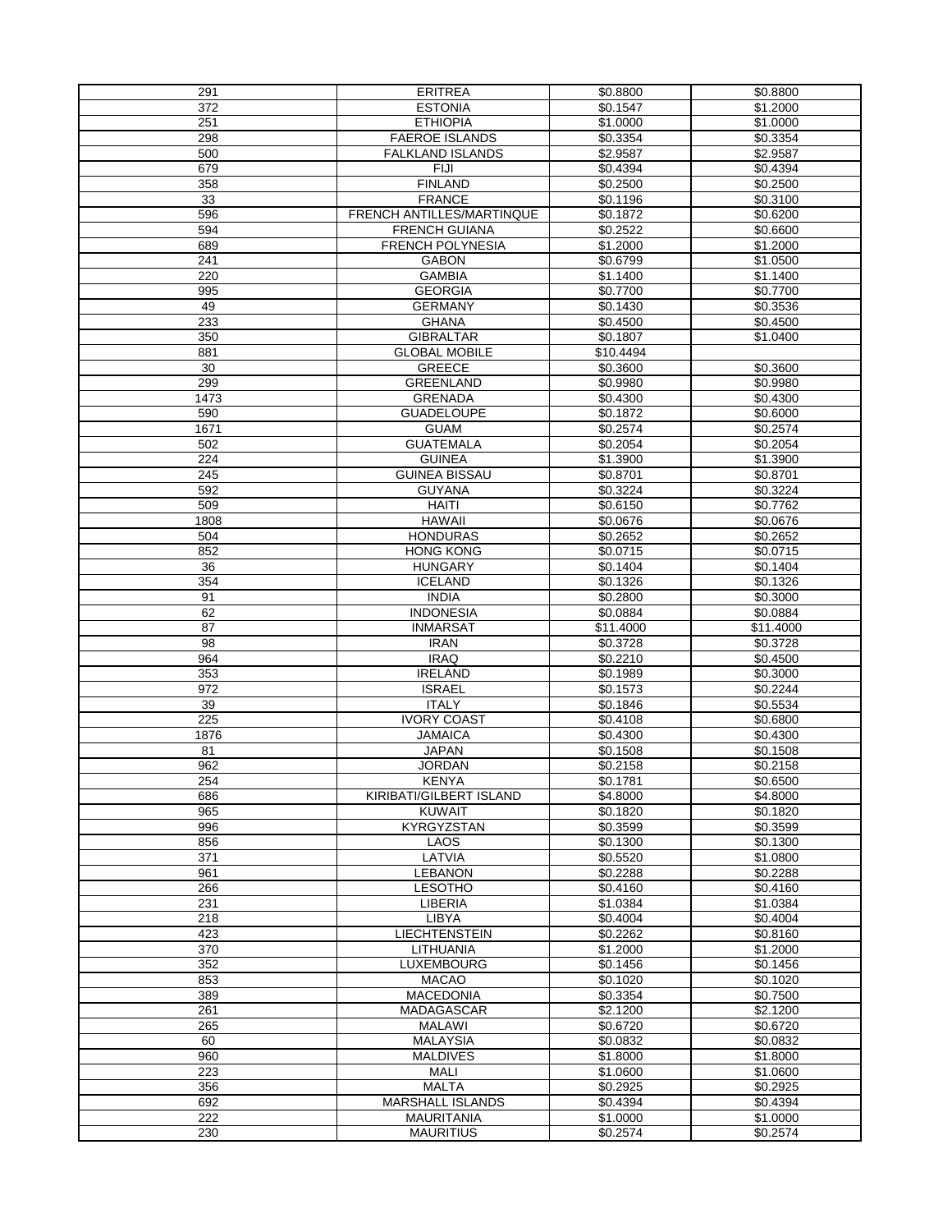| 291        | <b>ERITREA</b>                      | \$0.8800             | \$0.8800             |
|------------|-------------------------------------|----------------------|----------------------|
| 372        | <b>ESTONIA</b>                      | \$0.1547             | \$1.2000             |
| 251        | <b>ETHIOPIA</b>                     | \$1.0000             | \$1.0000             |
| 298        | <b>FAEROE ISLANDS</b>               | \$0.3354             | \$0.3354             |
| 500        | <b>FALKLAND ISLANDS</b>             | \$2.9587             | \$2.9587             |
| 679        | <b>FIJI</b>                         | \$0.4394             | \$0.4394             |
| 358        | <b>FINLAND</b>                      | \$0.2500             | \$0.2500             |
| 33         | <b>FRANCE</b>                       | \$0.1196             | \$0.3100             |
| 596        | <b>FRENCH ANTILLES/MARTINQUE</b>    | \$0.1872             | \$0.6200             |
| 594        | <b>FRENCH GUIANA</b>                | \$0.2522             | \$0.6600             |
| 689        | <b>FRENCH POLYNESIA</b>             | \$1.2000             | \$1.2000             |
| 241        | <b>GABON</b>                        | \$0.6799             | \$1.0500             |
| 220        | <b>GAMBIA</b>                       | \$1.1400             | \$1.1400             |
| 995        | <b>GEORGIA</b>                      | \$0.7700             | \$0.7700             |
| 49         | <b>GERMANY</b>                      | \$0.1430             | \$0.3536             |
| 233        | <b>GHANA</b>                        | \$0.4500             | \$0.4500             |
| 350        | <b>GIBRALTAR</b>                    | \$0.1807             | \$1.0400             |
| 881        | <b>GLOBAL MOBILE</b>                | \$10.4494            |                      |
| 30         | <b>GREECE</b>                       | \$0.3600             | \$0.3600             |
| 299        | <b>GREENLAND</b>                    | \$0.9980             | \$0.9980             |
| 1473       | <b>GRENADA</b>                      | \$0.4300             | \$0.4300             |
| 590        | <b>GUADELOUPE</b>                   | \$0.1872             | \$0.6000             |
| 1671       | <b>GUAM</b>                         | \$0.2574             | \$0.2574             |
| 502        | <b>GUATEMALA</b>                    | \$0.2054             | \$0.2054             |
| 224        | <b>GUINEA</b>                       | \$1.3900             | \$1.3900             |
|            | <b>GUINEA BISSAU</b>                |                      |                      |
| 245<br>592 | <b>GUYANA</b>                       | \$0.8701<br>\$0.3224 | \$0.8701<br>\$0.3224 |
|            | <b>HAITI</b>                        |                      |                      |
| 509        |                                     | \$0.6150             | \$0.7762             |
| 1808       | <b>HAWAII</b>                       | \$0.0676             | \$0.0676             |
| 504        | <b>HONDURAS</b><br><b>HONG KONG</b> | \$0.2652             | \$0.2652<br>\$0.0715 |
| 852        |                                     | \$0.0715             |                      |
| 36         | <b>HUNGARY</b>                      | \$0.1404             | \$0.1404             |
| 354        | <b>ICELAND</b>                      | \$0.1326             | \$0.1326             |
| 91         | <b>INDIA</b>                        | \$0.2800             | \$0.3000             |
| 62         | <b>INDONESIA</b>                    | \$0.0884             | \$0.0884             |
| 87         | <b>INMARSAT</b>                     | \$11.4000            | \$11.4000            |
| 98         | <b>IRAN</b>                         | \$0.3728             | \$0.3728             |
| 964        | <b>IRAQ</b>                         | \$0.2210             | \$0.4500             |
| 353        | <b>IRELAND</b>                      | \$0.1989             | \$0.3000             |
| 972        | <b>ISRAEL</b>                       | \$0.1573             | \$0.2244             |
| 39         | <b>ITALY</b>                        | \$0.1846             | \$0.5534             |
| 225        | <b>IVORY COAST</b>                  | \$0.4108             | \$0.6800             |
| 1876       | <b>JAMAICA</b>                      | \$0.4300             | \$0.4300             |
| 81         | <b>JAPAN</b>                        | \$0.1508             | \$0.1508             |
| 962        | <b>JORDAN</b>                       | \$0.2158             | \$0.2158             |
| 254        | <b>KENYA</b>                        | \$0.1781             | \$0.6500             |
| 686        | KIRIBATI/GILBERT ISLAND             | \$4.8000             | \$4.8000             |
| 965        | <b>KUWAIT</b>                       | \$0.1820             | \$0.1820             |
| 996        | <b>KYRGYZSTAN</b>                   | \$0.3599             | \$0.3599             |
| 856        | <b>LAOS</b>                         | \$0.1300             | \$0.1300             |
| 371        | LATVIA                              | \$0.5520             | \$1.0800             |
| 961        | <b>LEBANON</b>                      | \$0.2288             | \$0.2288             |
| 266        | <b>LESOTHO</b>                      | \$0.4160             | \$0.4160             |
| 231        | <b>LIBERIA</b>                      | \$1.0384             | \$1.0384             |
| 218        | <b>LIBYA</b>                        | \$0.4004             | \$0.4004             |
| 423        | <b>LIECHTENSTEIN</b>                | \$0.2262             | \$0.8160             |
| 370        | LITHUANIA                           | \$1.2000             | \$1.2000             |
| 352        | <b>LUXEMBOURG</b>                   | \$0.1456             | \$0.1456             |
| 853        | <b>MACAO</b>                        | \$0.1020             | \$0.1020             |
| 389        | <b>MACEDONIA</b>                    | \$0.3354             | \$0.7500             |
| 261        | <b>MADAGASCAR</b>                   | \$2.1200             | $\overline{$}2.1200$ |
| 265        | <b>MALAWI</b>                       | \$0.6720             | \$0.6720             |
| 60         | <b>MALAYSIA</b>                     | \$0.0832             | \$0.0832             |
| 960        | <b>MALDIVES</b>                     | \$1.8000             | \$1.8000             |
| 223        | <b>MALI</b>                         | \$1.0600             | \$1.0600             |
| 356        | MALTA                               | \$0.2925             | \$0.2925             |
| 692        | <b>MARSHALL ISLANDS</b>             | \$0.4394             | \$0.4394             |
| 222        | <b>MAURITANIA</b>                   | \$1.0000             | \$1.0000             |
| 230        | <b>MAURITIUS</b>                    | \$0.2574             | \$0.2574             |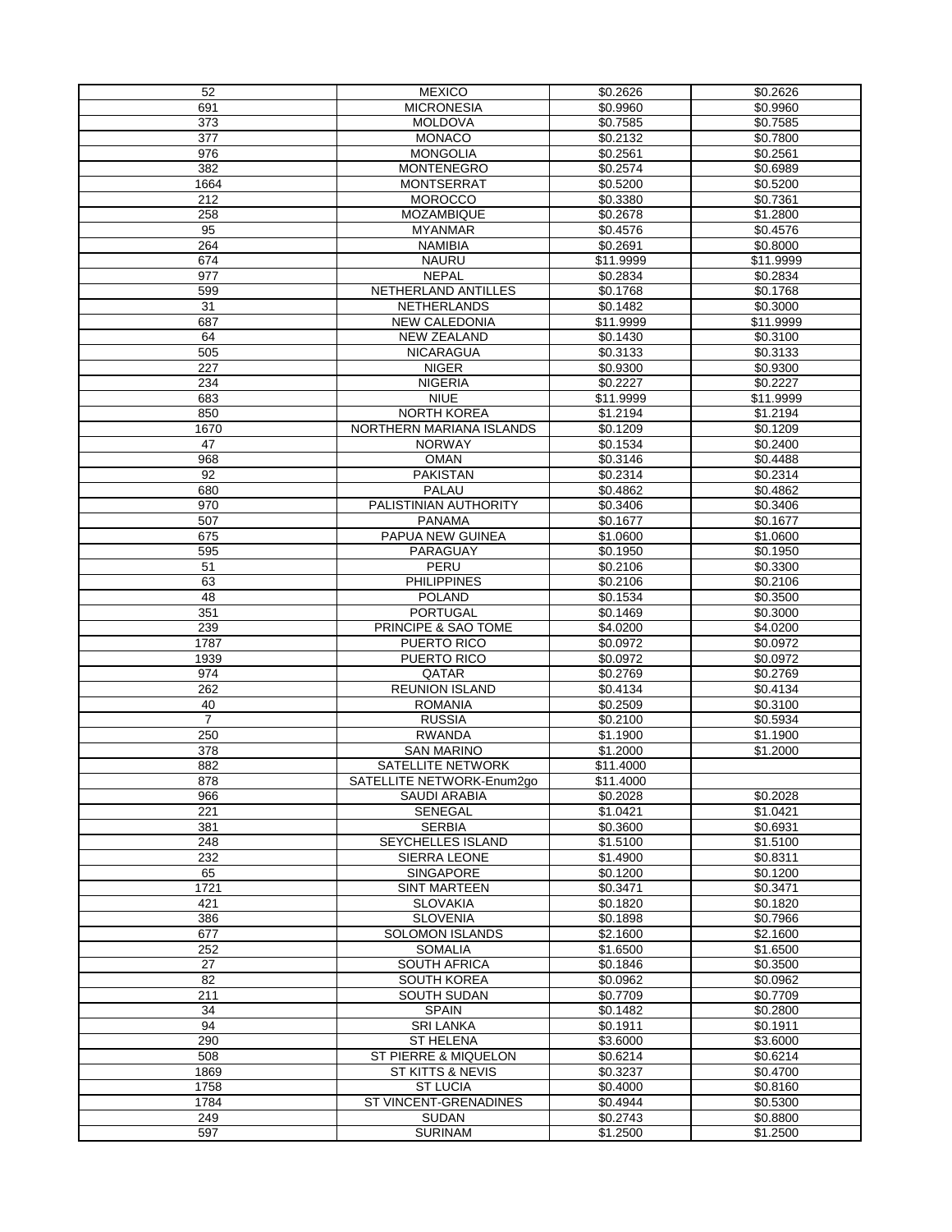| 52             | <b>MEXICO</b>                   | \$0.2626  | \$0.2626  |
|----------------|---------------------------------|-----------|-----------|
| 691            | <b>MICRONESIA</b>               | \$0.9960  | \$0.9960  |
| 373            | <b>MOLDOVA</b>                  | \$0.7585  | \$0.7585  |
| 377            | <b>MONACO</b>                   | \$0.2132  | \$0.7800  |
| 976            | <b>MONGOLIA</b>                 | \$0.2561  | \$0.2561  |
| 382            | <b>MONTENEGRO</b>               | \$0.2574  | \$0.6989  |
| 1664           | <b>MONTSERRAT</b>               | \$0.5200  | \$0.5200  |
| 212            | <b>MOROCCO</b>                  | \$0.3380  | \$0.7361  |
| 258            | <b>MOZAMBIQUE</b>               | \$0.2678  | \$1.2800  |
| 95             | <b>MYANMAR</b>                  | \$0.4576  | \$0.4576  |
| 264            | <b>NAMIBIA</b>                  | \$0.2691  | \$0.8000  |
| 674            | <b>NAURU</b>                    | \$11.9999 | \$11.9999 |
| 977            | <b>NEPAL</b>                    | \$0.2834  | \$0.2834  |
| 599            | NETHERLAND ANTILLES             | \$0.1768  | \$0.1768  |
| 31             | <b>NETHERLANDS</b>              | \$0.1482  | \$0.3000  |
| 687            | <b>NEW CALEDONIA</b>            | \$11.9999 | \$11.9999 |
| 64             | <b>NEW ZEALAND</b>              | \$0.1430  | \$0.3100  |
| 505            | <b>NICARAGUA</b>                | \$0.3133  | \$0.3133  |
| 227            | <b>NIGER</b>                    | \$0.9300  | \$0.9300  |
| 234            | <b>NIGERIA</b>                  | \$0.2227  | \$0.2227  |
| 683            | <b>NIUE</b>                     | \$11.9999 | \$11.9999 |
| 850            | <b>NORTH KOREA</b>              | \$1.2194  | \$1.2194  |
| 1670           | <b>NORTHERN MARIANA ISLANDS</b> | \$0.1209  | \$0.1209  |
| 47             | <b>NORWAY</b>                   | \$0.1534  | \$0.2400  |
| 968            | <b>OMAN</b>                     | \$0.3146  | \$0.4488  |
| 92             | <b>PAKISTAN</b>                 | \$0.2314  | \$0.2314  |
| 680            | <b>PALAU</b>                    | \$0.4862  | \$0.4862  |
| 970            | PALISTINIAN AUTHORITY           | \$0.3406  | \$0.3406  |
| 507            | <b>PANAMA</b>                   | \$0.1677  | \$0.1677  |
| 675            | PAPUA NEW GUINEA                | \$1.0600  | \$1.0600  |
| 595            | <b>PARAGUAY</b>                 | \$0.1950  | \$0.1950  |
| 51             | <b>PERU</b>                     | \$0.2106  | \$0.3300  |
| 63             | <b>PHILIPPINES</b>              | \$0.2106  | \$0.2106  |
| 48             | <b>POLAND</b>                   | \$0.1534  | \$0.3500  |
| 351            | <b>PORTUGAL</b>                 | \$0.1469  | \$0.3000  |
| 239            | PRINCIPE & SAO TOME             | \$4.0200  | \$4.0200  |
| 1787           | PUERTO RICO                     | \$0.0972  | \$0.0972  |
| 1939           | PUERTO RICO                     | \$0.0972  | \$0.0972  |
| 974            | QATAR                           | \$0.2769  | \$0.2769  |
| 262            | <b>REUNION ISLAND</b>           | \$0.4134  | \$0.4134  |
| 40             | <b>ROMANIA</b>                  | \$0.2509  | \$0.3100  |
| $\overline{7}$ | <b>RUSSIA</b>                   | \$0.2100  | \$0.5934  |
| 250            | <b>RWANDA</b>                   | \$1.1900  | \$1.1900  |
| 378            | <b>SAN MARINO</b>               | \$1.2000  | \$1.2000  |
| 882            | SATELLITE NETWORK               | \$11.4000 |           |
| 878            | SATELLITE NETWORK-Enum2go       | \$11.4000 |           |
| 966            | <b>SAUDI ARABIA</b>             | \$0.2028  | \$0.2028  |
| 221            | <b>SENEGAL</b>                  | \$1.0421  | \$1.0421  |
| 381            | <b>SERBIA</b>                   | \$0.3600  | \$0.6931  |
| 248            | <b>SEYCHELLES ISLAND</b>        | \$1.5100  | \$1.5100  |
| 232            | <b>SIERRA LEONE</b>             | \$1.4900  | \$0.8311  |
| 65             | <b>SINGAPORE</b>                | \$0.1200  | \$0.1200  |
| 1721           | <b>SINT MARTEEN</b>             | \$0.3471  | \$0.3471  |
| 421            | <b>SLOVAKIA</b>                 | \$0.1820  | \$0.1820  |
| 386            | <b>SLOVENIA</b>                 | \$0.1898  | \$0.7966  |
| 677            | <b>SOLOMON ISLANDS</b>          | \$2.1600  | \$2.1600  |
| 252            | <b>SOMALIA</b>                  | \$1.6500  | \$1.6500  |
| 27             | <b>SOUTH AFRICA</b>             | \$0.1846  | \$0.3500  |
| 82             | <b>SOUTH KOREA</b>              | \$0.0962  | \$0.0962  |
| 211            | <b>SOUTH SUDAN</b>              | \$0.7709  | \$0.7709  |
| 34             | <b>SPAIN</b>                    | \$0.1482  | \$0.2800  |
| 94             | <b>SRI LANKA</b>                | \$0.1911  | \$0.1911  |
| 290            | <b>ST HELENA</b>                | \$3.6000  | \$3.6000  |
| 508            | <b>ST PIERRE &amp; MIQUELON</b> | \$0.6214  | \$0.6214  |
| 1869           | <b>ST KITTS &amp; NEVIS</b>     | \$0.3237  | \$0.4700  |
| 1758           | <b>ST LUCIA</b>                 | \$0.4000  | \$0.8160  |
| 1784           | ST VINCENT-GRENADINES           | \$0.4944  | \$0.5300  |
| 249            | <b>SUDAN</b>                    | \$0.2743  | \$0.8800  |
| 597            | <b>SURINAM</b>                  | \$1.2500  | \$1.2500  |